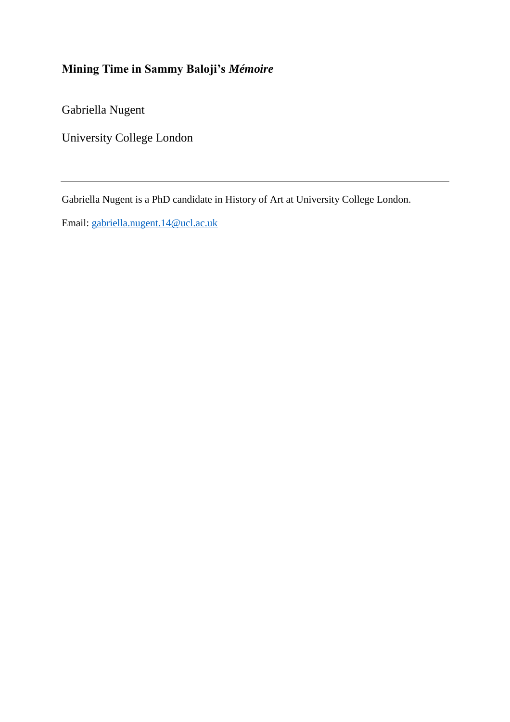# **Mining Time in Sammy Baloji's** *Mémoire*

Gabriella Nugent

University College London

Gabriella Nugent is a PhD candidate in History of Art at University College London.

Email: [gabriella.nugent.14@ucl.ac.uk](mailto:gabriella.nugent.14@ucl.ac.uk)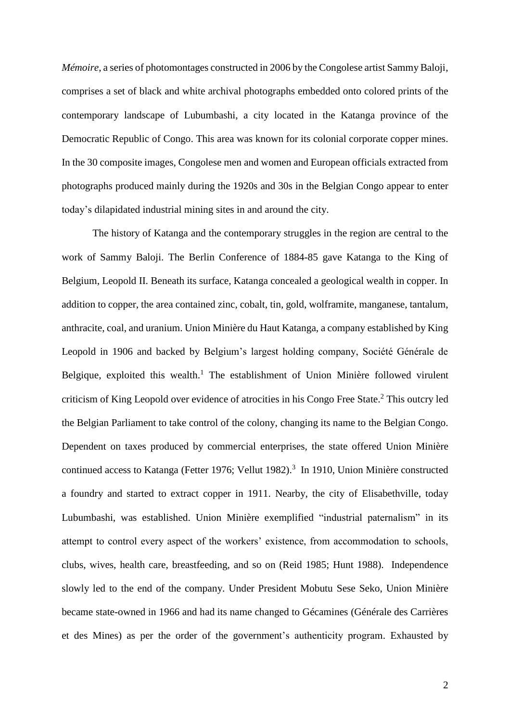*Mémoire*, a series of photomontages constructed in 2006 by the Congolese artist Sammy Baloji, comprises a set of black and white archival photographs embedded onto colored prints of the contemporary landscape of Lubumbashi, a city located in the Katanga province of the Democratic Republic of Congo. This area was known for its colonial corporate copper mines. In the 30 composite images, Congolese men and women and European officials extracted from photographs produced mainly during the 1920s and 30s in the Belgian Congo appear to enter today's dilapidated industrial mining sites in and around the city.

The history of Katanga and the contemporary struggles in the region are central to the work of Sammy Baloji. The Berlin Conference of 1884-85 gave Katanga to the King of Belgium, Leopold II. Beneath its surface, Katanga concealed a geological wealth in copper. In addition to copper, the area contained zinc, cobalt, tin, gold, wolframite, manganese, tantalum, anthracite, coal, and uranium. Union Minière du Haut Katanga, a company established by King Leopold in 1906 and backed by Belgium's largest holding company, Société Générale de Belgique, exploited this wealth.<sup>1</sup> The establishment of Union Minière followed virulent criticism of King Leopold over evidence of atrocities in his Congo Free State.<sup>2</sup> This outcry led the Belgian Parliament to take control of the colony, changing its name to the Belgian Congo. Dependent on taxes produced by commercial enterprises, the state offered Union Minière continued access to Katanga (Fetter 1976; Vellut 1982).<sup>3</sup> In 1910, Union Minière constructed a foundry and started to extract copper in 1911. Nearby, the city of Elisabethville, today Lubumbashi, was established. Union Minière exemplified "industrial paternalism" in its attempt to control every aspect of the workers' existence, from accommodation to schools, clubs, wives, health care, breastfeeding, and so on (Reid 1985; Hunt 1988). Independence slowly led to the end of the company. Under President Mobutu Sese Seko, Union Minière became state-owned in 1966 and had its name changed to Gécamines (Générale des Carrières et des Mines) as per the order of the government's authenticity program. Exhausted by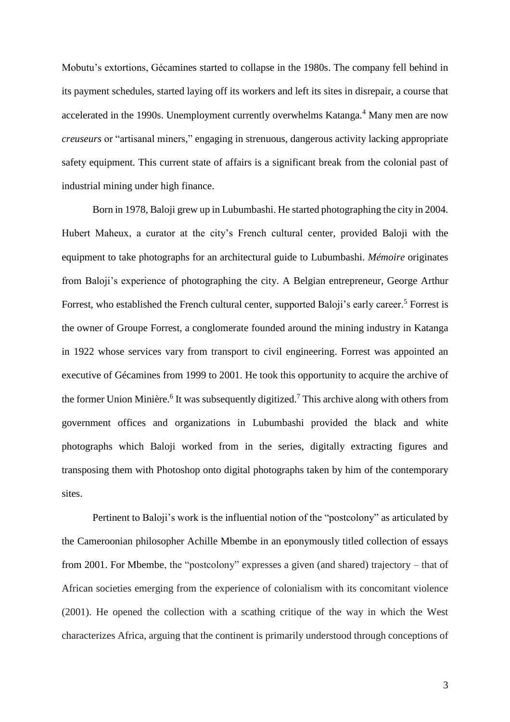Mobutu's extortions, Gécamines started to collapse in the 1980s. The company fell behind in its payment schedules, started laying off its workers and left its sites in disrepair, a course that accelerated in the 1990s. Unemployment currently overwhelms Katanga.<sup>4</sup> Many men are now *creuseurs* or "artisanal miners," engaging in strenuous, dangerous activity lacking appropriate safety equipment. This current state of affairs is a significant break from the colonial past of industrial mining under high finance.

Born in 1978, Baloji grew up in Lubumbashi. He started photographing the city in 2004. Hubert Maheux, a curator at the city's French cultural center, provided Baloji with the equipment to take photographs for an architectural guide to Lubumbashi. *Mémoire* originates from Baloji's experience of photographing the city. A Belgian entrepreneur, George Arthur Forrest, who established the French cultural center, supported Baloji's early career.<sup>5</sup> Forrest is the owner of Groupe Forrest, a conglomerate founded around the mining industry in Katanga in 1922 whose services vary from transport to civil engineering. Forrest was appointed an executive of Gécamines from 1999 to 2001. He took this opportunity to acquire the archive of the former Union Minière.<sup>6</sup> It was subsequently digitized.<sup>7</sup> This archive along with others from government offices and organizations in Lubumbashi provided the black and white photographs which Baloji worked from in the series, digitally extracting figures and transposing them with Photoshop onto digital photographs taken by him of the contemporary sites.

Pertinent to Baloji's work is the influential notion of the "postcolony" as articulated by the Cameroonian philosopher Achille Mbembe in an eponymously titled collection of essays from 2001. For Mbembe, the "postcolony" expresses a given (and shared) trajectory – that of African societies emerging from the experience of colonialism with its concomitant violence (2001). He opened the collection with a scathing critique of the way in which the West characterizes Africa, arguing that the continent is primarily understood through conceptions of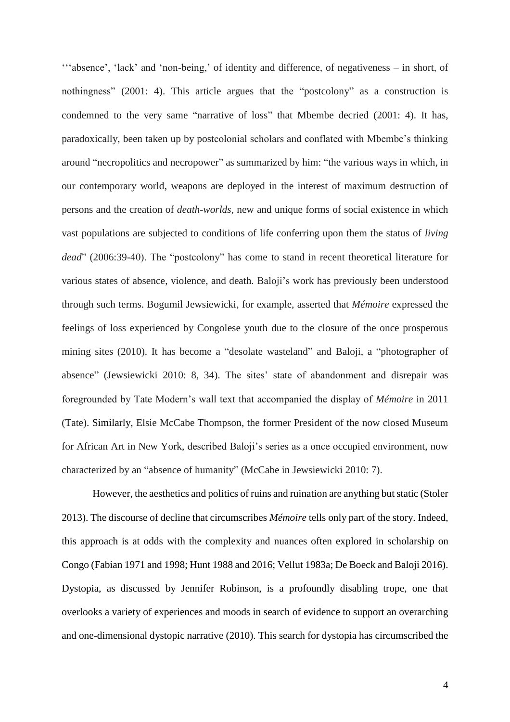'''absence', 'lack' and 'non-being,' of identity and difference, of negativeness – in short, of nothingness" (2001: 4). This article argues that the "postcolony" as a construction is condemned to the very same "narrative of loss" that Mbembe decried (2001: 4). It has, paradoxically, been taken up by postcolonial scholars and conflated with Mbembe's thinking around "necropolitics and necropower" as summarized by him: "the various ways in which, in our contemporary world, weapons are deployed in the interest of maximum destruction of persons and the creation of *death-worlds*, new and unique forms of social existence in which vast populations are subjected to conditions of life conferring upon them the status of *living dead*" (2006:39-40). The "postcolony" has come to stand in recent theoretical literature for various states of absence, violence, and death. Baloji's work has previously been understood through such terms. Bogumil Jewsiewicki, for example, asserted that *Mémoire* expressed the feelings of loss experienced by Congolese youth due to the closure of the once prosperous mining sites (2010). It has become a "desolate wasteland" and Baloji, a "photographer of absence" (Jewsiewicki 2010: 8, 34). The sites' state of abandonment and disrepair was foregrounded by Tate Modern's wall text that accompanied the display of *Mémoire* in 2011 (Tate). Similarly, Elsie McCabe Thompson, the former President of the now closed Museum for African Art in New York, described Baloji's series as a once occupied environment, now characterized by an "absence of humanity" (McCabe in Jewsiewicki 2010: 7).

However, the aesthetics and politics of ruins and ruination are anything but static (Stoler 2013). The discourse of decline that circumscribes *Mémoire* tells only part of the story. Indeed, this approach is at odds with the complexity and nuances often explored in scholarship on Congo (Fabian 1971 and 1998; Hunt 1988 and 2016; Vellut 1983a; De Boeck and Baloji 2016). Dystopia, as discussed by Jennifer Robinson, is a profoundly disabling trope, one that overlooks a variety of experiences and moods in search of evidence to support an overarching and one-dimensional dystopic narrative (2010). This search for dystopia has circumscribed the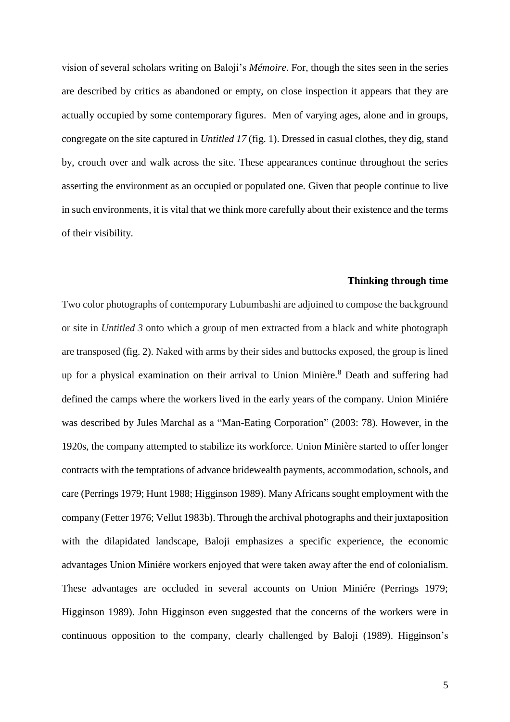vision of several scholars writing on Baloji's *Mémoire*. For, though the sites seen in the series are described by critics as abandoned or empty, on close inspection it appears that they are actually occupied by some contemporary figures. Men of varying ages, alone and in groups, congregate on the site captured in *Untitled 17* (fig. 1). Dressed in casual clothes, they dig, stand by, crouch over and walk across the site. These appearances continue throughout the series asserting the environment as an occupied or populated one. Given that people continue to live in such environments, it is vital that we think more carefully about their existence and the terms of their visibility.

### **Thinking through time**

Two color photographs of contemporary Lubumbashi are adjoined to compose the background or site in *Untitled 3* onto which a group of men extracted from a black and white photograph are transposed (fig. 2). Naked with arms by their sides and buttocks exposed, the group is lined up for a physical examination on their arrival to Union Minière.<sup>8</sup> Death and suffering had defined the camps where the workers lived in the early years of the company. Union Miniére was described by Jules Marchal as a "Man-Eating Corporation" (2003: 78). However, in the 1920s, the company attempted to stabilize its workforce. Union Minière started to offer longer contracts with the temptations of advance bridewealth payments, accommodation, schools, and care (Perrings 1979; Hunt 1988; Higginson 1989). Many Africans sought employment with the company (Fetter 1976; Vellut 1983b). Through the archival photographs and their juxtaposition with the dilapidated landscape, Baloji emphasizes a specific experience, the economic advantages Union Miniére workers enjoyed that were taken away after the end of colonialism. These advantages are occluded in several accounts on Union Miniére (Perrings 1979; Higginson 1989). John Higginson even suggested that the concerns of the workers were in continuous opposition to the company, clearly challenged by Baloji (1989). Higginson's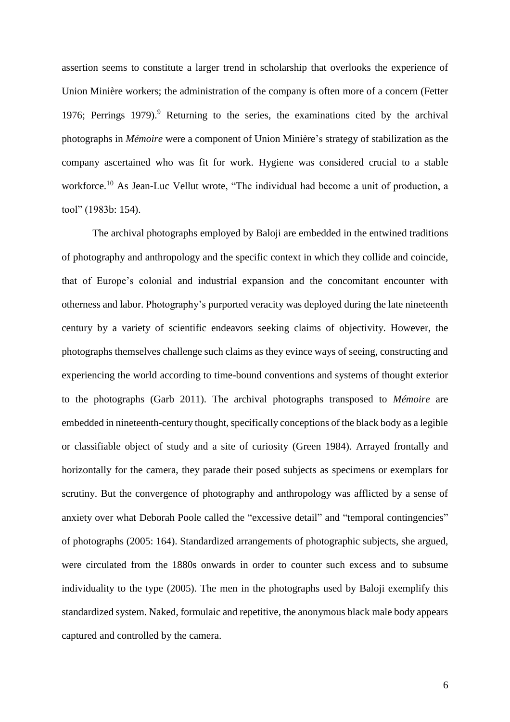assertion seems to constitute a larger trend in scholarship that overlooks the experience of Union Minière workers; the administration of the company is often more of a concern (Fetter 1976; Perrings 1979). <sup>9</sup> Returning to the series, the examinations cited by the archival photographs in *Mémoire* were a component of Union Minière's strategy of stabilization as the company ascertained who was fit for work. Hygiene was considered crucial to a stable workforce.<sup>10</sup> As Jean-Luc Vellut wrote, "The individual had become a unit of production, a tool" (1983b: 154).

The archival photographs employed by Baloji are embedded in the entwined traditions of photography and anthropology and the specific context in which they collide and coincide, that of Europe's colonial and industrial expansion and the concomitant encounter with otherness and labor. Photography's purported veracity was deployed during the late nineteenth century by a variety of scientific endeavors seeking claims of objectivity. However, the photographs themselves challenge such claims as they evince ways of seeing, constructing and experiencing the world according to time-bound conventions and systems of thought exterior to the photographs (Garb 2011). The archival photographs transposed to *Mémoire* are embedded in nineteenth-century thought, specifically conceptions of the black body as a legible or classifiable object of study and a site of curiosity (Green 1984). Arrayed frontally and horizontally for the camera, they parade their posed subjects as specimens or exemplars for scrutiny. But the convergence of photography and anthropology was afflicted by a sense of anxiety over what Deborah Poole called the "excessive detail" and "temporal contingencies" of photographs (2005: 164). Standardized arrangements of photographic subjects, she argued, were circulated from the 1880s onwards in order to counter such excess and to subsume individuality to the type (2005). The men in the photographs used by Baloji exemplify this standardized system. Naked, formulaic and repetitive, the anonymous black male body appears captured and controlled by the camera.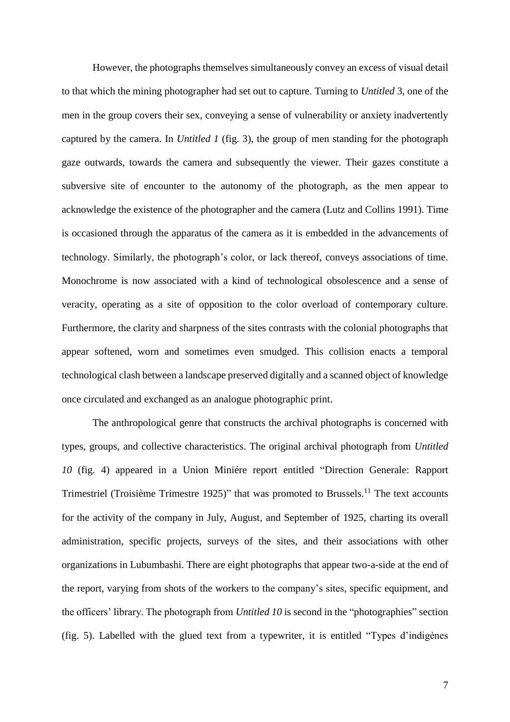However, the photographs themselves simultaneously convey an excess of visual detail to that which the mining photographer had set out to capture. Turning to *Untitled* 3, one of the men in the group covers their sex, conveying a sense of vulnerability or anxiety inadvertently captured by the camera. In *Untitled 1* (fig. 3), the group of men standing for the photograph gaze outwards, towards the camera and subsequently the viewer. Their gazes constitute a subversive site of encounter to the autonomy of the photograph, as the men appear to acknowledge the existence of the photographer and the camera (Lutz and Collins 1991). Time is occasioned through the apparatus of the camera as it is embedded in the advancements of technology. Similarly, the photograph's color, or lack thereof, conveys associations of time. Monochrome is now associated with a kind of technological obsolescence and a sense of veracity, operating as a site of opposition to the color overload of contemporary culture. Furthermore, the clarity and sharpness of the sites contrasts with the colonial photographs that appear softened, worn and sometimes even smudged. This collision enacts a temporal technological clash between a landscape preserved digitally and a scanned object of knowledge once circulated and exchanged as an analogue photographic print.

The anthropological genre that constructs the archival photographs is concerned with types, groups, and collective characteristics. The original archival photograph from *Untitled 10* (fig. 4) appeared in a Union Miniére report entitled "Direction Generale: Rapport Trimestriel (Troisième Trimestre 1925)" that was promoted to Brussels.<sup>11</sup> The text accounts for the activity of the company in July, August, and September of 1925, charting its overall administration, specific projects, surveys of the sites, and their associations with other organizations in Lubumbashi. There are eight photographs that appear two-a-side at the end of the report, varying from shots of the workers to the company's sites, specific equipment, and the officers' library. The photograph from *Untitled 10* is second in the "photographies" section (fig. 5). Labelled with the glued text from a typewriter, it is entitled "Types d'indigènes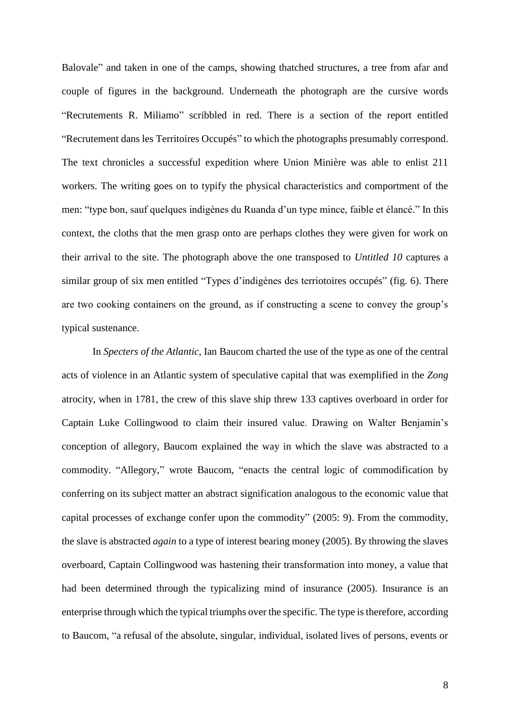Balovale" and taken in one of the camps, showing thatched structures, a tree from afar and couple of figures in the background. Underneath the photograph are the cursive words "Recrutements R. Miliamo" scribbled in red. There is a section of the report entitled "Recrutement dans les Territoires Occupés" to which the photographs presumably correspond. The text chronicles a successful expedition where Union Minière was able to enlist 211 workers. The writing goes on to typify the physical characteristics and comportment of the men: "type bon, sauf quelques indigènes du Ruanda d'un type mince, faible et élancé." In this context, the cloths that the men grasp onto are perhaps clothes they were given for work on their arrival to the site. The photograph above the one transposed to *Untitled 10* captures a similar group of six men entitled "Types d'indigènes des terriotoires occupés" (fig. 6). There are two cooking containers on the ground, as if constructing a scene to convey the group's typical sustenance.

In *Specters of the Atlantic*, Ian Baucom charted the use of the type as one of the central acts of violence in an Atlantic system of speculative capital that was exemplified in the *Zong*  atrocity, when in 1781, the crew of this slave ship threw 133 captives overboard in order for Captain Luke Collingwood to claim their insured value. Drawing on Walter Benjamin's conception of allegory, Baucom explained the way in which the slave was abstracted to a commodity. "Allegory," wrote Baucom, "enacts the central logic of commodification by conferring on its subject matter an abstract signification analogous to the economic value that capital processes of exchange confer upon the commodity" (2005: 9). From the commodity, the slave is abstracted *again* to a type of interest bearing money (2005). By throwing the slaves overboard, Captain Collingwood was hastening their transformation into money, a value that had been determined through the typicalizing mind of insurance (2005). Insurance is an enterprise through which the typical triumphs over the specific. The type is therefore, according to Baucom, "a refusal of the absolute, singular, individual, isolated lives of persons, events or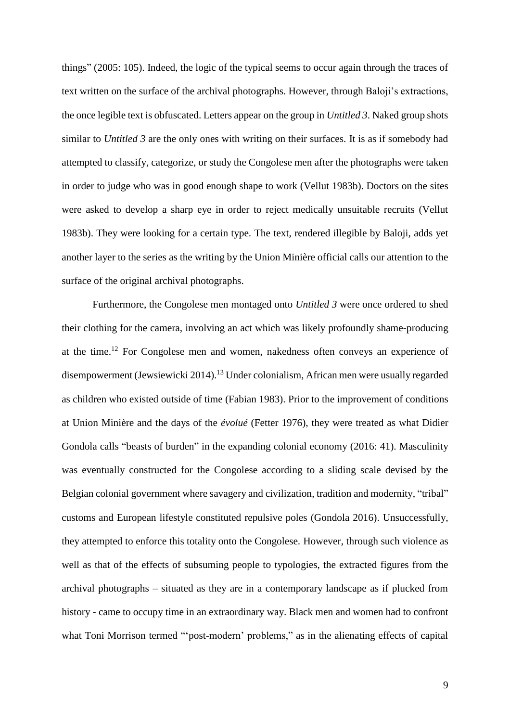things" (2005: 105). Indeed, the logic of the typical seems to occur again through the traces of text written on the surface of the archival photographs. However, through Baloji's extractions, the once legible text is obfuscated. Letters appear on the group in *Untitled 3*. Naked group shots similar to *Untitled* 3 are the only ones with writing on their surfaces. It is as if somebody had attempted to classify, categorize, or study the Congolese men after the photographs were taken in order to judge who was in good enough shape to work (Vellut 1983b). Doctors on the sites were asked to develop a sharp eye in order to reject medically unsuitable recruits (Vellut 1983b). They were looking for a certain type. The text, rendered illegible by Baloji, adds yet another layer to the series as the writing by the Union Minière official calls our attention to the surface of the original archival photographs.

Furthermore, the Congolese men montaged onto *Untitled 3* were once ordered to shed their clothing for the camera, involving an act which was likely profoundly shame-producing at the time.<sup>12</sup> For Congolese men and women, nakedness often conveys an experience of disempowerment (Jewsiewicki 2014). <sup>13</sup> Under colonialism, African men were usually regarded as children who existed outside of time (Fabian 1983). Prior to the improvement of conditions at Union Minière and the days of the *évolué* (Fetter 1976), they were treated as what Didier Gondola calls "beasts of burden" in the expanding colonial economy (2016: 41). Masculinity was eventually constructed for the Congolese according to a sliding scale devised by the Belgian colonial government where savagery and civilization, tradition and modernity, "tribal" customs and European lifestyle constituted repulsive poles (Gondola 2016). Unsuccessfully, they attempted to enforce this totality onto the Congolese. However, through such violence as well as that of the effects of subsuming people to typologies, the extracted figures from the archival photographs – situated as they are in a contemporary landscape as if plucked from history - came to occupy time in an extraordinary way. Black men and women had to confront what Toni Morrison termed "'post-modern' problems," as in the alienating effects of capital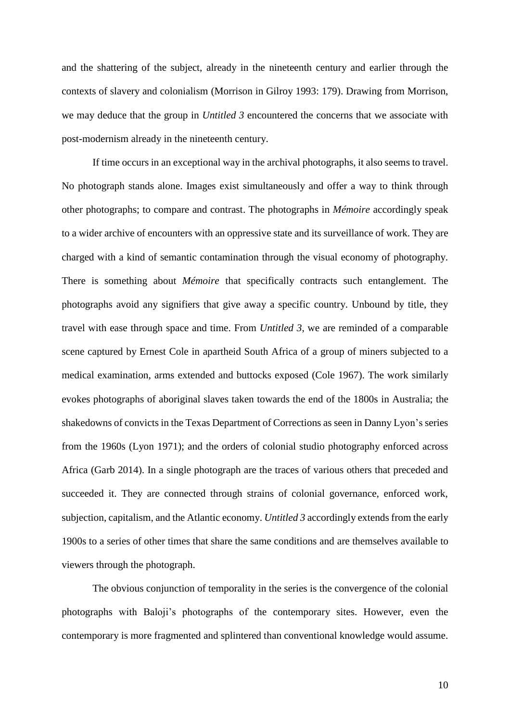and the shattering of the subject, already in the nineteenth century and earlier through the contexts of slavery and colonialism (Morrison in Gilroy 1993: 179). Drawing from Morrison, we may deduce that the group in *Untitled 3* encountered the concerns that we associate with post-modernism already in the nineteenth century.

If time occurs in an exceptional way in the archival photographs, it also seems to travel. No photograph stands alone. Images exist simultaneously and offer a way to think through other photographs; to compare and contrast. The photographs in *Mémoire* accordingly speak to a wider archive of encounters with an oppressive state and its surveillance of work. They are charged with a kind of semantic contamination through the visual economy of photography. There is something about *Mémoire* that specifically contracts such entanglement. The photographs avoid any signifiers that give away a specific country. Unbound by title, they travel with ease through space and time. From *Untitled 3*, we are reminded of a comparable scene captured by Ernest Cole in apartheid South Africa of a group of miners subjected to a medical examination, arms extended and buttocks exposed (Cole 1967). The work similarly evokes photographs of aboriginal slaves taken towards the end of the 1800s in Australia; the shakedowns of convicts in the Texas Department of Corrections as seen in Danny Lyon's series from the 1960s (Lyon 1971); and the orders of colonial studio photography enforced across Africa (Garb 2014). In a single photograph are the traces of various others that preceded and succeeded it. They are connected through strains of colonial governance, enforced work, subjection, capitalism, and the Atlantic economy. *Untitled 3* accordingly extends from the early 1900s to a series of other times that share the same conditions and are themselves available to viewers through the photograph.

The obvious conjunction of temporality in the series is the convergence of the colonial photographs with Baloji's photographs of the contemporary sites. However, even the contemporary is more fragmented and splintered than conventional knowledge would assume.

10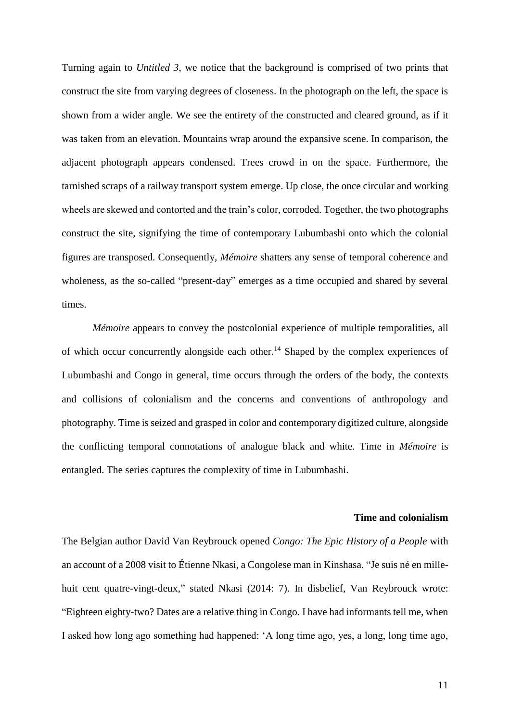Turning again to *Untitled 3*, we notice that the background is comprised of two prints that construct the site from varying degrees of closeness. In the photograph on the left, the space is shown from a wider angle. We see the entirety of the constructed and cleared ground, as if it was taken from an elevation. Mountains wrap around the expansive scene. In comparison, the adjacent photograph appears condensed. Trees crowd in on the space. Furthermore, the tarnished scraps of a railway transport system emerge. Up close, the once circular and working wheels are skewed and contorted and the train's color, corroded. Together, the two photographs construct the site, signifying the time of contemporary Lubumbashi onto which the colonial figures are transposed. Consequently, *Mémoire* shatters any sense of temporal coherence and wholeness, as the so-called "present-day" emerges as a time occupied and shared by several times.

*Mémoire* appears to convey the postcolonial experience of multiple temporalities, all of which occur concurrently alongside each other.<sup>14</sup> Shaped by the complex experiences of Lubumbashi and Congo in general, time occurs through the orders of the body, the contexts and collisions of colonialism and the concerns and conventions of anthropology and photography. Time is seized and grasped in color and contemporary digitized culture, alongside the conflicting temporal connotations of analogue black and white. Time in *Mémoire* is entangled. The series captures the complexity of time in Lubumbashi.

### **Time and colonialism**

The Belgian author David Van Reybrouck opened *Congo: The Epic History of a People* with an account of a 2008 visit to Étienne Nkasi, a Congolese man in Kinshasa. "Je suis né en millehuit cent quatre-vingt-deux," stated Nkasi (2014: 7). In disbelief, Van Reybrouck wrote: "Eighteen eighty-two? Dates are a relative thing in Congo. I have had informants tell me, when I asked how long ago something had happened: 'A long time ago, yes, a long, long time ago,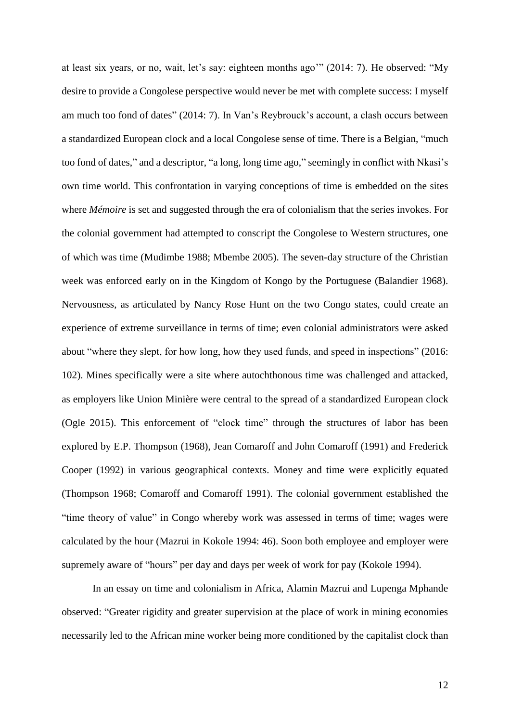at least six years, or no, wait, let's say: eighteen months ago'" (2014: 7). He observed: "My desire to provide a Congolese perspective would never be met with complete success: I myself am much too fond of dates" (2014: 7). In Van's Reybrouck's account, a clash occurs between a standardized European clock and a local Congolese sense of time. There is a Belgian, "much too fond of dates," and a descriptor, "a long, long time ago," seemingly in conflict with Nkasi's own time world. This confrontation in varying conceptions of time is embedded on the sites where *Mémoire* is set and suggested through the era of colonialism that the series invokes. For the colonial government had attempted to conscript the Congolese to Western structures, one of which was time (Mudimbe 1988; Mbembe 2005). The seven-day structure of the Christian week was enforced early on in the Kingdom of Kongo by the Portuguese (Balandier 1968). Nervousness, as articulated by Nancy Rose Hunt on the two Congo states, could create an experience of extreme surveillance in terms of time; even colonial administrators were asked about "where they slept, for how long, how they used funds, and speed in inspections" (2016: 102). Mines specifically were a site where autochthonous time was challenged and attacked, as employers like Union Minière were central to the spread of a standardized European clock (Ogle 2015). This enforcement of "clock time" through the structures of labor has been explored by E.P. Thompson (1968), Jean Comaroff and John Comaroff (1991) and Frederick Cooper (1992) in various geographical contexts. Money and time were explicitly equated (Thompson 1968; Comaroff and Comaroff 1991). The colonial government established the "time theory of value" in Congo whereby work was assessed in terms of time; wages were calculated by the hour (Mazrui in Kokole 1994: 46). Soon both employee and employer were supremely aware of "hours" per day and days per week of work for pay (Kokole 1994).

In an essay on time and colonialism in Africa, Alamin Mazrui and Lupenga Mphande observed: "Greater rigidity and greater supervision at the place of work in mining economies necessarily led to the African mine worker being more conditioned by the capitalist clock than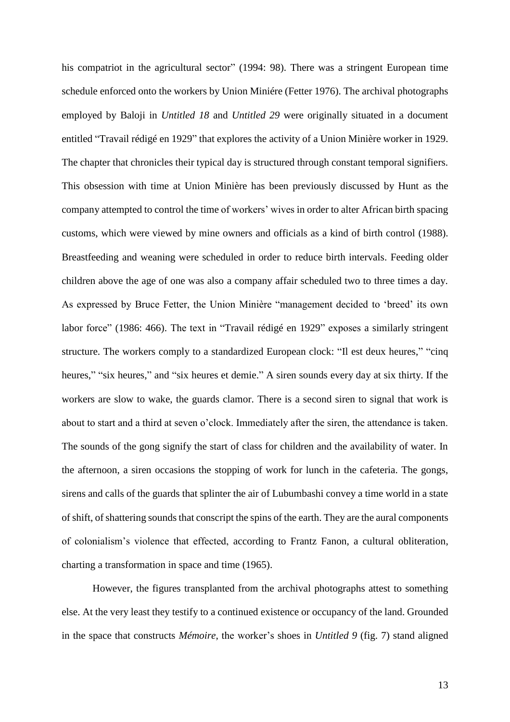his compatriot in the agricultural sector" (1994: 98). There was a stringent European time schedule enforced onto the workers by Union Miniére (Fetter 1976). The archival photographs employed by Baloji in *Untitled 18* and *Untitled 29* were originally situated in a document entitled "Travail rédigé en 1929" that explores the activity of a Union Minière worker in 1929. The chapter that chronicles their typical day is structured through constant temporal signifiers. This obsession with time at Union Minière has been previously discussed by Hunt as the company attempted to control the time of workers' wives in order to alter African birth spacing customs, which were viewed by mine owners and officials as a kind of birth control (1988). Breastfeeding and weaning were scheduled in order to reduce birth intervals. Feeding older children above the age of one was also a company affair scheduled two to three times a day. As expressed by Bruce Fetter, the Union Minière "management decided to 'breed' its own labor force" (1986: 466). The text in "Travail rédigé en 1929" exposes a similarly stringent structure. The workers comply to a standardized European clock: "Il est deux heures," "cinq heures," "six heures," and "six heures et demie." A siren sounds every day at six thirty. If the workers are slow to wake, the guards clamor. There is a second siren to signal that work is about to start and a third at seven o'clock. Immediately after the siren, the attendance is taken. The sounds of the gong signify the start of class for children and the availability of water. In the afternoon, a siren occasions the stopping of work for lunch in the cafeteria. The gongs, sirens and calls of the guards that splinter the air of Lubumbashi convey a time world in a state of shift, of shattering sounds that conscript the spins of the earth. They are the aural components of colonialism's violence that effected, according to Frantz Fanon, a cultural obliteration, charting a transformation in space and time (1965).

However, the figures transplanted from the archival photographs attest to something else. At the very least they testify to a continued existence or occupancy of the land. Grounded in the space that constructs *Mémoire*, the worker's shoes in *Untitled 9* (fig. 7) stand aligned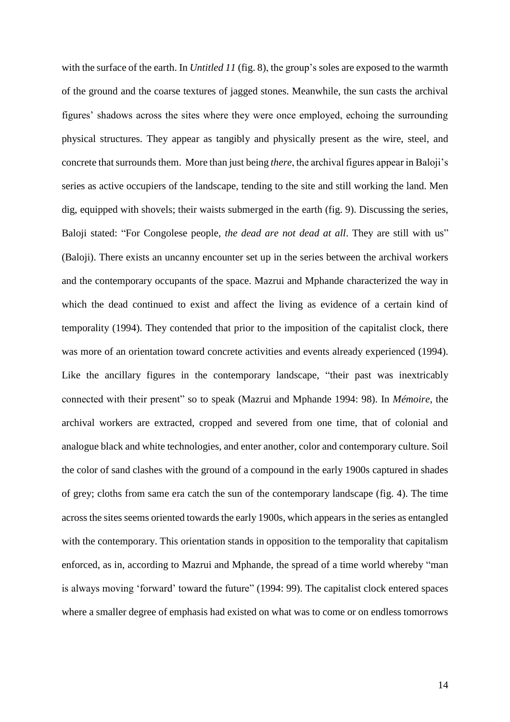with the surface of the earth. In *Untitled 11* (fig. 8), the group's soles are exposed to the warmth of the ground and the coarse textures of jagged stones. Meanwhile, the sun casts the archival figures' shadows across the sites where they were once employed, echoing the surrounding physical structures. They appear as tangibly and physically present as the wire, steel, and concrete that surrounds them. More than just being *there*, the archival figures appear in Baloji's series as active occupiers of the landscape, tending to the site and still working the land. Men dig, equipped with shovels; their waists submerged in the earth (fig. 9). Discussing the series, Baloji stated: "For Congolese people, *the dead are not dead at all*. They are still with us" (Baloji). There exists an uncanny encounter set up in the series between the archival workers and the contemporary occupants of the space. Mazrui and Mphande characterized the way in which the dead continued to exist and affect the living as evidence of a certain kind of temporality (1994). They contended that prior to the imposition of the capitalist clock, there was more of an orientation toward concrete activities and events already experienced (1994). Like the ancillary figures in the contemporary landscape, "their past was inextricably connected with their present" so to speak (Mazrui and Mphande 1994: 98). In *Mémoire*, the archival workers are extracted, cropped and severed from one time, that of colonial and analogue black and white technologies, and enter another, color and contemporary culture. Soil the color of sand clashes with the ground of a compound in the early 1900s captured in shades of grey; cloths from same era catch the sun of the contemporary landscape (fig. 4). The time across the sites seems oriented towards the early 1900s, which appears in the series as entangled with the contemporary. This orientation stands in opposition to the temporality that capitalism enforced, as in, according to Mazrui and Mphande, the spread of a time world whereby "man is always moving 'forward' toward the future" (1994: 99). The capitalist clock entered spaces where a smaller degree of emphasis had existed on what was to come or on endless tomorrows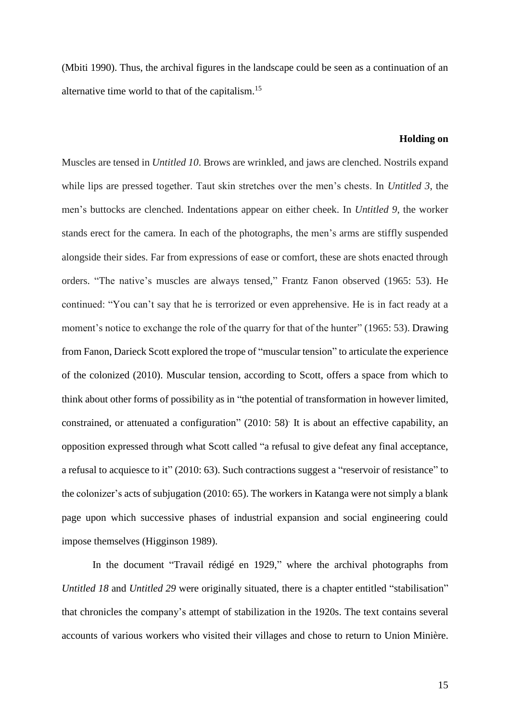(Mbiti 1990). Thus, the archival figures in the landscape could be seen as a continuation of an alternative time world to that of the capitalism.<sup>15</sup>

#### **Holding on**

Muscles are tensed in *Untitled 10*. Brows are wrinkled, and jaws are clenched. Nostrils expand while lips are pressed together. Taut skin stretches over the men's chests. In *Untitled 3*, the men's buttocks are clenched. Indentations appear on either cheek. In *Untitled 9*, the worker stands erect for the camera. In each of the photographs, the men's arms are stiffly suspended alongside their sides. Far from expressions of ease or comfort, these are shots enacted through orders. "The native's muscles are always tensed," Frantz Fanon observed (1965: 53). He continued: "You can't say that he is terrorized or even apprehensive. He is in fact ready at a moment's notice to exchange the role of the quarry for that of the hunter" (1965: 53). Drawing from Fanon, Darieck Scott explored the trope of "muscular tension" to articulate the experience of the colonized (2010). Muscular tension, according to Scott, offers a space from which to think about other forms of possibility as in "the potential of transformation in however limited, constrained, or attenuated a configuration" (2010: 58) It is about an effective capability, an opposition expressed through what Scott called "a refusal to give defeat any final acceptance, a refusal to acquiesce to it" (2010: 63). Such contractions suggest a "reservoir of resistance" to the colonizer's acts of subjugation (2010: 65). The workers in Katanga were not simply a blank page upon which successive phases of industrial expansion and social engineering could impose themselves (Higginson 1989).

In the document "Travail rédigé en 1929," where the archival photographs from *Untitled 18* and *Untitled 29* were originally situated, there is a chapter entitled "stabilisation" that chronicles the company's attempt of stabilization in the 1920s. The text contains several accounts of various workers who visited their villages and chose to return to Union Minière.

15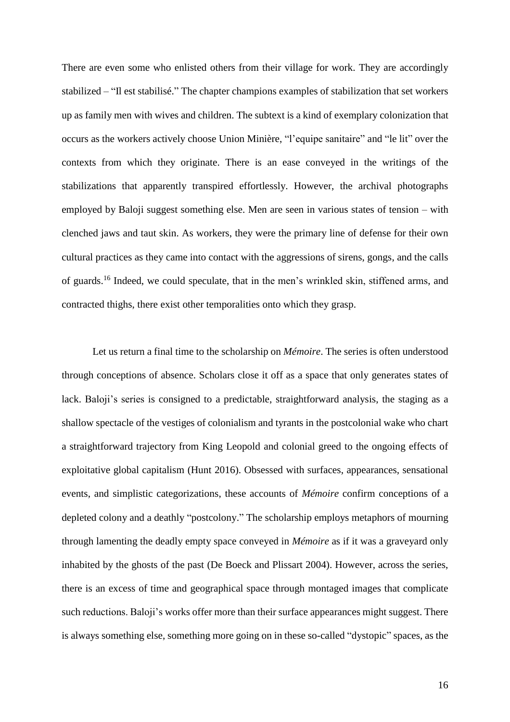There are even some who enlisted others from their village for work. They are accordingly stabilized – "Il est stabilisé." The chapter champions examples of stabilization that set workers up as family men with wives and children. The subtext is a kind of exemplary colonization that occurs as the workers actively choose Union Minière, "l'equipe sanitaire" and "le lit" over the contexts from which they originate. There is an ease conveyed in the writings of the stabilizations that apparently transpired effortlessly. However, the archival photographs employed by Baloji suggest something else. Men are seen in various states of tension – with clenched jaws and taut skin. As workers, they were the primary line of defense for their own cultural practices as they came into contact with the aggressions of sirens, gongs, and the calls of guards.<sup>16</sup> Indeed, we could speculate, that in the men's wrinkled skin, stiffened arms, and contracted thighs, there exist other temporalities onto which they grasp.

Let us return a final time to the scholarship on *Mémoire*. The series is often understood through conceptions of absence. Scholars close it off as a space that only generates states of lack. Baloji's series is consigned to a predictable, straightforward analysis, the staging as a shallow spectacle of the vestiges of colonialism and tyrants in the postcolonial wake who chart a straightforward trajectory from King Leopold and colonial greed to the ongoing effects of exploitative global capitalism (Hunt 2016). Obsessed with surfaces, appearances, sensational events, and simplistic categorizations, these accounts of *Mémoire* confirm conceptions of a depleted colony and a deathly "postcolony." The scholarship employs metaphors of mourning through lamenting the deadly empty space conveyed in *Mémoire* as if it was a graveyard only inhabited by the ghosts of the past (De Boeck and Plissart 2004). However, across the series, there is an excess of time and geographical space through montaged images that complicate such reductions. Baloji's works offer more than their surface appearances might suggest. There is always something else, something more going on in these so-called "dystopic" spaces, as the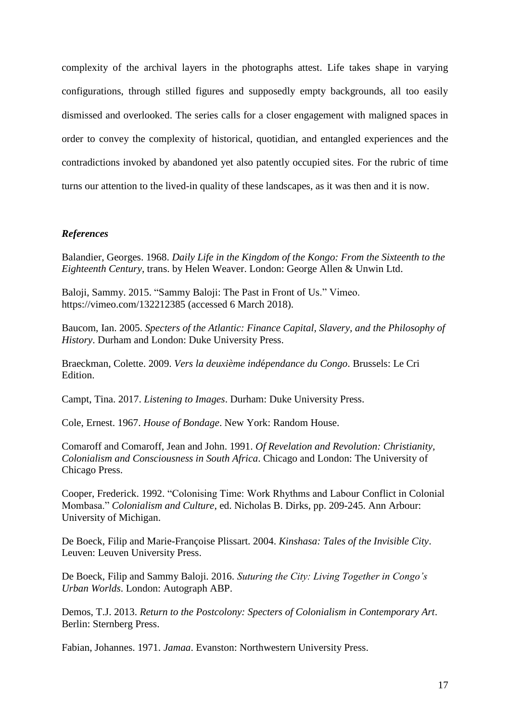complexity of the archival layers in the photographs attest. Life takes shape in varying configurations, through stilled figures and supposedly empty backgrounds, all too easily dismissed and overlooked. The series calls for a closer engagement with maligned spaces in order to convey the complexity of historical, quotidian, and entangled experiences and the contradictions invoked by abandoned yet also patently occupied sites. For the rubric of time turns our attention to the lived-in quality of these landscapes, as it was then and it is now.

## *References*

Balandier, Georges. 1968. *Daily Life in the Kingdom of the Kongo: From the Sixteenth to the Eighteenth Century*, trans. by Helen Weaver. London: George Allen & Unwin Ltd.

Baloji, Sammy. 2015. "Sammy Baloji: The Past in Front of Us." Vimeo. https://vimeo.com/132212385 (accessed 6 March 2018).

Baucom, Ian. 2005. *Specters of the Atlantic: Finance Capital, Slavery, and the Philosophy of History*. Durham and London: Duke University Press.

Braeckman, Colette. 2009. *Vers la deuxième ind*é*pendance du Congo*. Brussels: Le Cri Edition.

Campt, Tina. 2017. *Listening to Images*. Durham: Duke University Press.

Cole, Ernest. 1967. *House of Bondage*. New York: Random House.

Comaroff and Comaroff, Jean and John. 1991. *Of Revelation and Revolution: Christianity, Colonialism and Consciousness in South Africa*. Chicago and London: The University of Chicago Press.

Cooper, Frederick. 1992. "Colonising Time: Work Rhythms and Labour Conflict in Colonial Mombasa." *Colonialism and Culture*, ed. Nicholas B. Dirks, pp. 209-245. Ann Arbour: University of Michigan.

De Boeck, Filip and Marie-Françoise Plissart. 2004. *Kinshasa: Tales of the Invisible City*. Leuven: Leuven University Press.

De Boeck, Filip and Sammy Baloji. 2016. *Suturing the City: Living Together in Congo's Urban Worlds*. London: Autograph ABP.

Demos, T.J. 2013. *Return to the Postcolony: Specters of Colonialism in Contemporary Art*. Berlin: Sternberg Press.

Fabian, Johannes. 1971. *Jamaa*. Evanston: Northwestern University Press.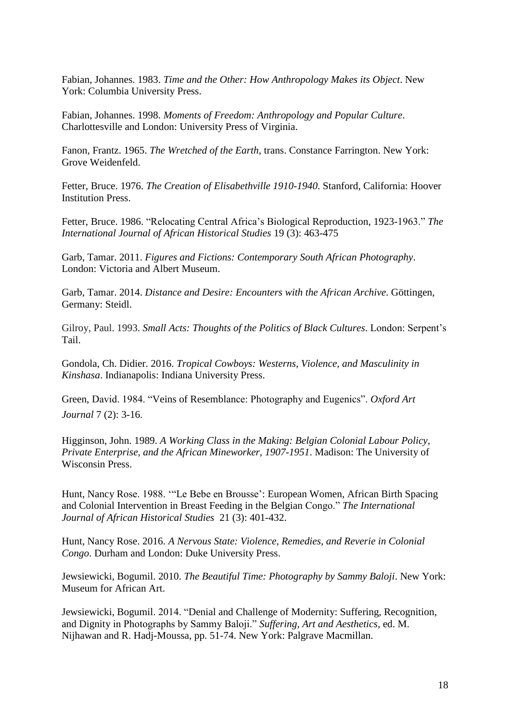Fabian, Johannes. 1983. *Time and the Other: How Anthropology Makes its Object*. New York: Columbia University Press.

Fabian, Johannes. 1998. *Moments of Freedom: Anthropology and Popular Culture*. Charlottesville and London: University Press of Virginia.

Fanon, Frantz. 1965. *The Wretched of the Earth*, trans. Constance Farrington. New York: Grove Weidenfeld.

Fetter, Bruce. 1976. *The Creation of Elisabethville 1910-1940*. Stanford, California: Hoover Institution Press.

Fetter, Bruce. 1986. "Relocating Central Africa's Biological Reproduction, 1923-1963." *The International Journal of African Historical Studies* 19 (3): 463-475

Garb, Tamar. 2011. *Figures and Fictions: Contemporary South African Photography*. London: Victoria and Albert Museum.

Garb, Tamar. 2014. *Distance and Desire: Encounters with the African Archive*. Göttingen, Germany: Steidl.

Gilroy, Paul. 1993. *Small Acts: Thoughts of the Politics of Black Cultures*. London: Serpent's Tail.

Gondola, Ch. Didier. 2016. *Tropical Cowboys: Westerns, Violence, and Masculinity in Kinshasa*. Indianapolis: Indiana University Press.

Green, David. 1984. "Veins of Resemblance: Photography and Eugenics". *Oxford Art Journal* 7 (2): 3-16.

Higginson, John. 1989. *A Working Class in the Making: Belgian Colonial Labour Policy, Private Enterprise, and the African Mineworker, 1907-1951*. Madison: The University of Wisconsin Press.

Hunt, Nancy Rose. 1988. '"Le Bebe en Brousse': European Women, African Birth Spacing and Colonial Intervention in Breast Feeding in the Belgian Congo." *The International Journal of African Historical Studies* 21 (3): 401-432.

Hunt, Nancy Rose. 2016. *A Nervous State: Violence, Remedies, and Reverie in Colonial Congo*. Durham and London: Duke University Press.

Jewsiewicki, Bogumil. 2010. *The Beautiful Time: Photography by Sammy Baloji*. New York: Museum for African Art.

Jewsiewicki, Bogumil. 2014. "Denial and Challenge of Modernity: Suffering, Recognition, and Dignity in Photographs by Sammy Baloji." *Suffering, Art and Aesthetics*, ed. M. Nijhawan and R. Hadj-Moussa, pp. 51-74. New York: Palgrave Macmillan.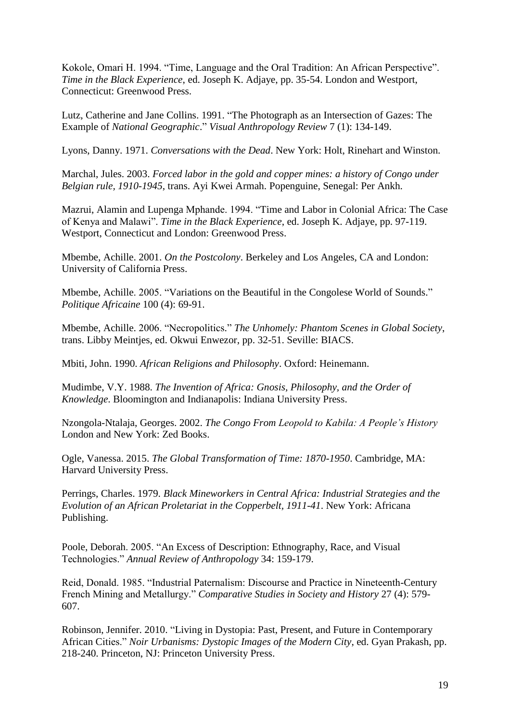Kokole, Omari H. 1994. "Time, Language and the Oral Tradition: An African Perspective". *Time in the Black Experience*, ed. Joseph K. Adjaye, pp. 35-54. London and Westport, Connecticut: Greenwood Press.

Lutz, Catherine and Jane Collins. 1991. "The Photograph as an Intersection of Gazes: The Example of *National Geographic*." *Visual Anthropology Review* 7 (1): 134-149.

Lyons, Danny. 1971. *Conversations with the Dead*. New York: Holt, Rinehart and Winston.

Marchal, Jules. 2003. *Forced labor in the gold and copper mines: a history of Congo under Belgian rule, 1910-1945*, trans. Ayi Kwei Armah. Popenguine, Senegal: Per Ankh.

Mazrui, Alamin and Lupenga Mphande. 1994. "Time and Labor in Colonial Africa: The Case of Kenya and Malawi". *Time in the Black Experience*, ed. Joseph K. Adjaye, pp. 97-119. Westport, Connecticut and London: Greenwood Press.

Mbembe, Achille. 2001. *On the Postcolony*. Berkeley and Los Angeles, CA and London: University of California Press.

Mbembe, Achille. 2005. "Variations on the Beautiful in the Congolese World of Sounds." *Politique Africaine* 100 (4): 69-91.

Mbembe, Achille. 2006. "Necropolitics." *The Unhomely: Phantom Scenes in Global Society*, trans. Libby Meintjes, ed. Okwui Enwezor, pp. 32-51. Seville: BIACS.

Mbiti, John. 1990. *African Religions and Philosophy*. Oxford: Heinemann.

Mudimbe, V.Y. 1988. *The Invention of Africa: Gnosis, Philosophy, and the Order of Knowledge*. Bloomington and Indianapolis: Indiana University Press.

Nzongola-Ntalaja, Georges. 2002. *The Congo From Leopold to Kabila: A People's History* London and New York: Zed Books.

Ogle, Vanessa. 2015. *The Global Transformation of Time: 1870-1950*. Cambridge, MA: Harvard University Press.

Perrings, Charles. 1979. *Black Mineworkers in Central Africa: Industrial Strategies and the Evolution of an African Proletariat in the Copperbelt, 1911-41*. New York: Africana Publishing.

Poole, Deborah. 2005. "An Excess of Description: Ethnography, Race, and Visual Technologies." *Annual Review of Anthropology* 34: 159-179.

Reid, Donald. 1985. "Industrial Paternalism: Discourse and Practice in Nineteenth-Century French Mining and Metallurgy." *Comparative Studies in Society and History* 27 (4): 579- 607.

Robinson, Jennifer. 2010. "Living in Dystopia: Past, Present, and Future in Contemporary African Cities." *Noir Urbanisms: Dystopic Images of the Modern City*, ed. Gyan Prakash, pp. 218-240. Princeton, NJ: Princeton University Press.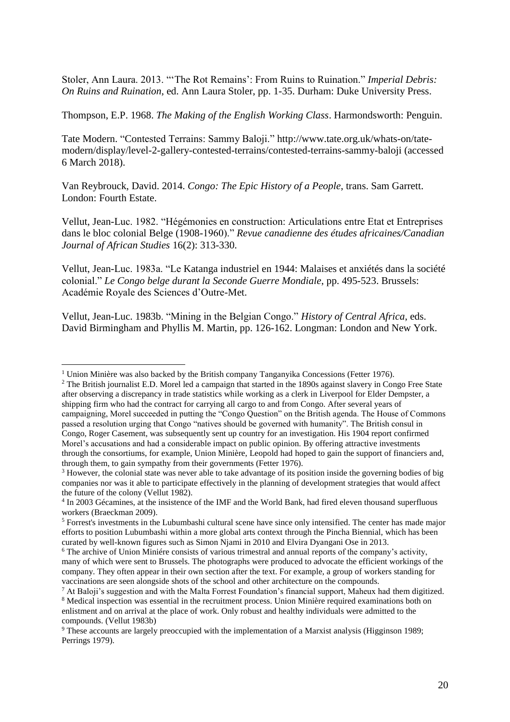Stoler, Ann Laura. 2013. "'The Rot Remains': From Ruins to Ruination." *Imperial Debris: On Ruins and Ruination*, ed. Ann Laura Stoler, pp. 1-35. Durham: Duke University Press.

Thompson, E.P. 1968. *The Making of the English Working Class*. Harmondsworth: Penguin.

Tate Modern. "Contested Terrains: Sammy Baloji." http://www.tate.org.uk/whats-on/tatemodern/display/level-2-gallery-contested-terrains/contested-terrains-sammy-baloji (accessed 6 March 2018).

Van Reybrouck, David. 2014. *Congo: The Epic History of a People*, trans. Sam Garrett. London: Fourth Estate.

Vellut, Jean-Luc. 1982. "Hégémonies en construction: Articulations entre Etat et Entreprises dans le bloc colonial Belge (1908-1960)." *Revue canadienne des études africaines/Canadian Journal of African Studies* 16(2): 313-330.

Vellut, Jean-Luc. 1983a. "Le Katanga industriel en 1944: Malaises et anxiétés dans la société colonial." *Le Congo belge durant la Seconde Guerre Mondiale*, pp. 495-523. Brussels: Académie Royale des Sciences d'Outre-Met.

Vellut, Jean-Luc. 1983b. "Mining in the Belgian Congo." *History of Central Africa*, eds. David Birmingham and Phyllis M. Martin, pp. 126-162. Longman: London and New York.

 $\overline{a}$ 

<sup>&</sup>lt;sup>1</sup> Union Minière was also backed by the British company Tanganyika Concessions (Fetter 1976).

<sup>&</sup>lt;sup>2</sup> The British journalist E.D. Morel led a campaign that started in the 1890s against slavery in Congo Free State after observing a discrepancy in trade statistics while working as a clerk in Liverpool for Elder Dempster, a shipping firm who had the contract for carrying all cargo to and from Congo. After several years of campaigning, Morel succeeded in putting the "Congo Question" on the British agenda. The House of Commons passed a resolution urging that Congo "natives should be governed with humanity". The British consul in Congo, Roger Casement, was subsequently sent up country for an investigation. His 1904 report confirmed Morel's accusations and had a considerable impact on public opinion. By offering attractive investments through the consortiums, for example, Union Minière, Leopold had hoped to gain the support of financiers and, through them, to gain sympathy from their governments (Fetter 1976).

<sup>&</sup>lt;sup>3</sup> However, the colonial state was never able to take advantage of its position inside the governing bodies of big companies nor was it able to participate effectively in the planning of development strategies that would affect the future of the colony (Vellut 1982).

<sup>&</sup>lt;sup>4</sup> In 2003 Gécamines, at the insistence of the IMF and the World Bank, had fired eleven thousand superfluous workers (Braeckman 2009).

<sup>5</sup> Forrest's investments in the Lubumbashi cultural scene have since only intensified. The center has made major efforts to position Lubumbashi within a more global arts context through the Pincha Biennial, which has been curated by well-known figures such as Simon Njami in 2010 and Elvira Dyangani Ose in 2013.

<sup>6</sup> The archive of Union Miniére consists of various trimestral and annual reports of the company's activity, many of which were sent to Brussels. The photographs were produced to advocate the efficient workings of the company. They often appear in their own section after the text. For example, a group of workers standing for vaccinations are seen alongside shots of the school and other architecture on the compounds.

<sup>7</sup> At Baloji's suggestion and with the Malta Forrest Foundation's financial support, Maheux had them digitized.

<sup>&</sup>lt;sup>8</sup> Medical inspection was essential in the recruitment process. Union Minière required examinations both on enlistment and on arrival at the place of work. Only robust and healthy individuals were admitted to the compounds. (Vellut 1983b)

<sup>9</sup> These accounts are largely preoccupied with the implementation of a Marxist analysis (Higginson 1989; Perrings 1979).